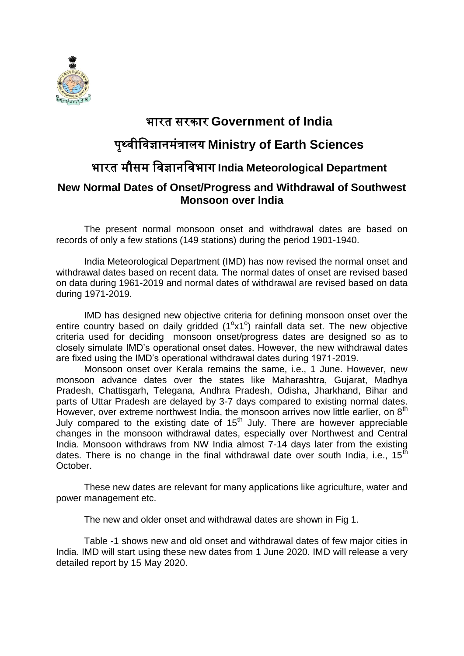

### भारत सरकार **Government of India**

# पृथ्वीववज्ञानमंत्रालय **Ministry of Earth Sciences**

# भारत मौसम ववज्ञानववभाग **India Meteorological Department**

#### **New Normal Dates of Onset/Progress and Withdrawal of Southwest Monsoon over India**

The present normal monsoon onset and withdrawal dates are based on records of only a few stations (149 stations) during the period 1901-1940.

India Meteorological Department (IMD) has now revised the normal onset and withdrawal dates based on recent data. The normal dates of onset are revised based on data during 1961-2019 and normal dates of withdrawal are revised based on data during 1971-2019.

IMD has designed new objective criteria for defining monsoon onset over the entire country based on daily gridded  $(1^{\circ}x1^{\circ})$  rainfall data set. The new objective criteria used for deciding monsoon onset/progress dates are designed so as to closely simulate IMD's operational onset dates. However, the new withdrawal dates are fixed using the IMD's operational withdrawal dates during 1971-2019.

Monsoon onset over Kerala remains the same, i.e., 1 June. However, new monsoon advance dates over the states like Maharashtra, Gujarat, Madhya Pradesh, Chattisgarh, Telegana, Andhra Pradesh, Odisha, Jharkhand, Bihar and parts of Uttar Pradesh are delayed by 3-7 days compared to existing normal dates. However, over extreme northwest India, the monsoon arrives now little earlier, on  $8<sup>th</sup>$ July compared to the existing date of  $15<sup>th</sup>$  July. There are however appreciable changes in the monsoon withdrawal dates, especially over Northwest and Central India. Monsoon withdraws from NW India almost 7-14 days later from the existing dates. There is no change in the final withdrawal date over south India, i.e.,  $15<sup>th</sup>$ October.

These new dates are relevant for many applications like agriculture, water and power management etc.

The new and older onset and withdrawal dates are shown in Fig 1.

Table -1 shows new and old onset and withdrawal dates of few major cities in India. IMD will start using these new dates from 1 June 2020. IMD will release a very detailed report by 15 May 2020.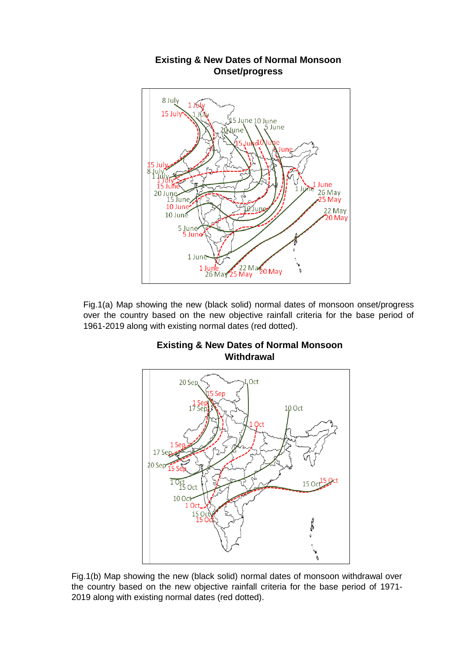

**Existing & New Dates of Normal Monsoon Onset/progress** 

Fig.1(a) Map showing the new (black solid) normal dates of monsoon onset/progress over the country based on the new objective rainfall criteria for the base period of 1961-2019 along with existing normal dates (red dotted).



#### **Existing & New Dates of Normal Monsoon Withdrawal**

Fig.1(b) Map showing the new (black solid) normal dates of monsoon withdrawal over the country based on the new objective rainfall criteria for the base period of 1971- 2019 along with existing normal dates (red dotted).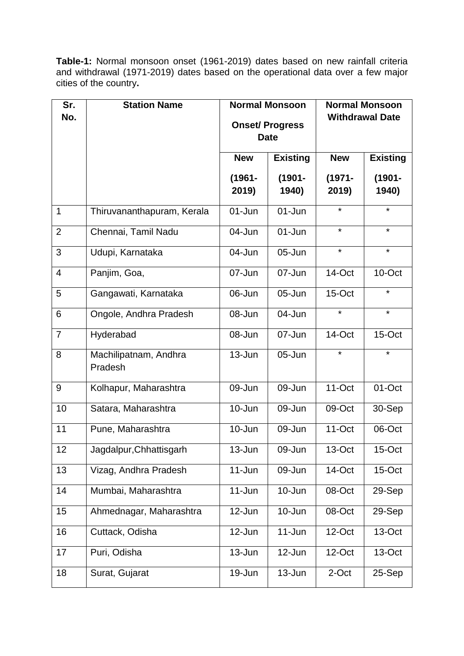**Table-1:** Normal monsoon onset (1961-2019) dates based on new rainfall criteria and withdrawal (1971-2019) dates based on the operational data over a few major cities of the country**.**

| Sr.<br>No.     | <b>Station Name</b>              | <b>Normal Monsoon</b>                |                    | <b>Normal Monsoon</b><br><b>Withdrawal Date</b> |                    |
|----------------|----------------------------------|--------------------------------------|--------------------|-------------------------------------------------|--------------------|
|                |                                  | <b>Onset/Progress</b><br><b>Date</b> |                    |                                                 |                    |
|                |                                  | <b>New</b>                           | <b>Existing</b>    | <b>New</b>                                      | <b>Existing</b>    |
|                |                                  | $(1961 -$<br>2019)                   | $(1901 -$<br>1940) | $(1971 -$<br>2019)                              | $(1901 -$<br>1940) |
| 1              | Thiruvananthapuram, Kerala       | 01-Jun                               | $01 - Jun$         | $\star$                                         | $\star$            |
| $\overline{2}$ | Chennai, Tamil Nadu              | 04-Jun                               | $01 - Jun$         | $\star$                                         | $\star$            |
| 3              | Udupi, Karnataka                 | 04-Jun                               | $05 - Jun$         | $\star$                                         | $\star$            |
| $\overline{4}$ | Panjim, Goa,                     | 07-Jun                               | 07-Jun             | 14-Oct                                          | 10-Oct             |
| 5              | Gangawati, Karnataka             | 06-Jun                               | 05-Jun             | 15-Oct                                          | *                  |
| 6              | Ongole, Andhra Pradesh           | 08-Jun                               | 04-Jun             | $\star$                                         | $\star$            |
| $\overline{7}$ | Hyderabad                        | 08-Jun                               | 07-Jun             | 14-Oct                                          | 15-Oct             |
| 8              | Machilipatnam, Andhra<br>Pradesh | 13-Jun                               | 05-Jun             | $\star$                                         | $\star$            |
| 9              | Kolhapur, Maharashtra            | 09-Jun                               | 09-Jun             | $11$ -Oct                                       | 01-Oct             |
| 10             | Satara, Maharashtra              | 10-Jun                               | 09-Jun             | 09-Oct                                          | 30-Sep             |
| 11             | Pune, Maharashtra                | 10-Jun                               | 09-Jun             | 11-Oct                                          | 06-Oct             |
| 12             | Jagdalpur, Chhattisgarh          | $13 - Jun$                           | 09-Jun             | 13-Oct                                          | 15-Oct             |
| 13             | Vizag, Andhra Pradesh            | $11 - Jun$                           | 09-Jun             | 14-Oct                                          | $15$ -Oct          |
| 14             | Mumbai, Maharashtra              | $11 - Jun$                           | 10-Jun             | 08-Oct                                          | 29-Sep             |
| 15             | Ahmednagar, Maharashtra          | 12-Jun                               | 10-Jun             | 08-Oct                                          | 29-Sep             |
| 16             | Cuttack, Odisha                  | 12-Jun                               | $11$ -Jun          | 12-Oct                                          | 13-Oct             |
| 17             | Puri, Odisha                     | 13-Jun                               | 12-Jun             | 12-Oct                                          | 13-Oct             |
| 18             | Surat, Gujarat                   | 19-Jun                               | $13 - Jun$         | 2-Oct                                           | 25-Sep             |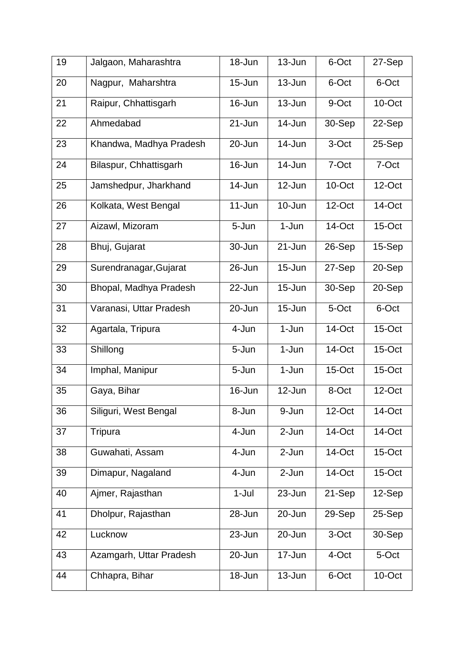| 19 | Jalgaon, Maharashtra    | 18-Jun     | $13 - Jun$ | 6-Oct     | 27-Sep    |
|----|-------------------------|------------|------------|-----------|-----------|
| 20 | Nagpur, Maharshtra      | $15 - Jun$ | 13-Jun     | 6-Oct     | 6-Oct     |
| 21 | Raipur, Chhattisgarh    | 16-Jun     | 13-Jun     | 9-Oct     | 10-Oct    |
| 22 | Ahmedabad               | 21-Jun     | 14-Jun     | 30-Sep    | 22-Sep    |
| 23 | Khandwa, Madhya Pradesh | 20-Jun     | 14-Jun     | 3-Oct     | 25-Sep    |
| 24 | Bilaspur, Chhattisgarh  | 16-Jun     | 14-Jun     | 7-Oct     | 7-Oct     |
| 25 | Jamshedpur, Jharkhand   | 14-Jun     | 12-Jun     | 10-Oct    | $12$ -Oct |
| 26 | Kolkata, West Bengal    | $11 - Jun$ | $10 - Jun$ | $12$ -Oct | 14-Oct    |
| 27 | Aizawl, Mizoram         | 5-Jun      | 1-Jun      | 14-Oct    | $15$ -Oct |
| 28 | Bhuj, Gujarat           | 30-Jun     | 21-Jun     | 26-Sep    | 15-Sep    |
| 29 | Surendranagar, Gujarat  | 26-Jun     | $15 - Jun$ | 27-Sep    | 20-Sep    |
| 30 | Bhopal, Madhya Pradesh  | 22-Jun     | $15 - Jun$ | 30-Sep    | 20-Sep    |
| 31 | Varanasi, Uttar Pradesh | 20-Jun     | 15-Jun     | 5-Oct     | 6-Oct     |
| 32 | Agartala, Tripura       | 4-Jun      | 1-Jun      | 14-Oct    | $15$ -Oct |
| 33 | Shillong                | 5-Jun      | $1-Jun$    | 14-Oct    | 15-Oct    |
| 34 | Imphal, Manipur         | 5-Jun      | 1-Jun      | $15$ -Oct | 15-Oct    |
| 35 | Gaya, Bihar             | 16-Jun     | 12-Jun     | 8-Oct     | 12-Oct    |
| 36 | Siliguri, West Bengal   | 8-Jun      | 9-Jun      | $12$ -Oct | 14-Oct    |
| 37 | Tripura                 | 4-Jun      | 2-Jun      | 14-Oct    | 14-Oct    |
| 38 | Guwahati, Assam         | 4-Jun      | 2-Jun      | 14-Oct    | 15-Oct    |
| 39 | Dimapur, Nagaland       | 4-Jun      | 2-Jun      | 14-Oct    | $15$ -Oct |
| 40 | Ajmer, Rajasthan        | $1-Jul$    | 23-Jun     | 21-Sep    | 12-Sep    |
| 41 | Dholpur, Rajasthan      | 28-Jun     | 20-Jun     | 29-Sep    | 25-Sep    |
| 42 | Lucknow                 | 23-Jun     | 20-Jun     | 3-Oct     | 30-Sep    |
| 43 | Azamgarh, Uttar Pradesh | 20-Jun     | 17-Jun     | 4-Oct     | 5-Oct     |
| 44 | Chhapra, Bihar          | 18-Jun     | $13 - Jun$ | 6-Oct     | 10-Oct    |